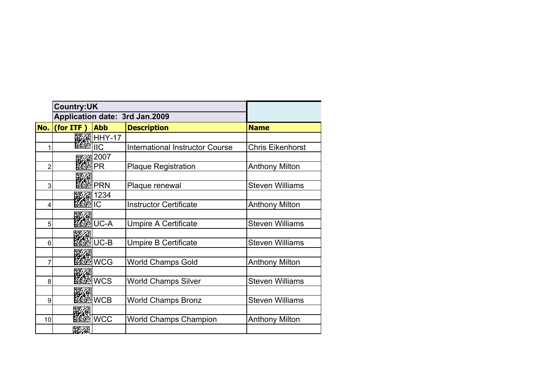|                | <b>Country:UK</b>              |                    |                                        |                         |
|----------------|--------------------------------|--------------------|----------------------------------------|-------------------------|
|                | Application date: 3rd Jan.2009 |                    |                                        |                         |
| No.            | (for ITF)                      | <b>Abb</b>         | <b>Description</b>                     | <b>Name</b>             |
|                |                                | <b>BEAR HHY-17</b> |                                        |                         |
|                |                                | <b>IIC</b>         | <b>International Instructor Course</b> | <b>Chris Eikenhorst</b> |
|                |                                | 2007               |                                        |                         |
| $\overline{2}$ |                                | PR                 | <b>Plaque Registration</b>             | <b>Anthony Milton</b>   |
|                |                                |                    |                                        |                         |
| 3              |                                | <b>PRN</b>         | Plaque renewal                         | <b>Steven Williams</b>  |
|                |                                | 1234               |                                        |                         |
| 4              |                                | IС                 | <b>Instructor Certificate</b>          | <b>Anthony Milton</b>   |
|                |                                |                    |                                        |                         |
| 5              |                                | UC-A               | <b>Umpire A Certificate</b>            | <b>Steven Williams</b>  |
|                |                                |                    |                                        |                         |
| 6              |                                | $UC-B$             | <b>Umpire B Certificate</b>            | <b>Steven Williams</b>  |
|                |                                |                    |                                        |                         |
| 7              |                                | <b>WCG</b>         | <b>World Champs Gold</b>               | <b>Anthony Milton</b>   |
|                |                                |                    |                                        |                         |
| 8              |                                | <b>WCS</b>         | <b>World Champs Silver</b>             | <b>Steven Williams</b>  |
|                |                                |                    |                                        |                         |
| 9              |                                | <b>WCB</b>         | <b>World Champs Bronz</b>              | <b>Steven Williams</b>  |
|                |                                | <b>WCC</b>         |                                        |                         |
| 10             |                                |                    | <b>World Champs Champion</b>           | Anthony Milton          |
|                | 成然                             |                    |                                        |                         |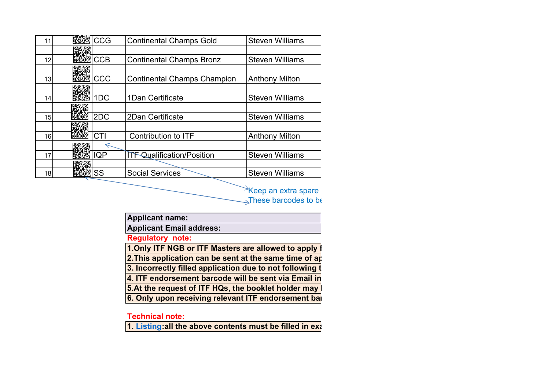|    | CCG        | <b>Continental Champs Gold</b>     | <b>Steven Williams</b> |
|----|------------|------------------------------------|------------------------|
|    |            |                                    |                        |
| 12 | CCB        | <b>Continental Champs Bronz</b>    | <b>Steven Williams</b> |
|    |            |                                    |                        |
| 13 | CCC        | <b>Continental Champs Champion</b> | <b>Anthony Milton</b>  |
|    |            |                                    |                        |
| 14 | 1DC        | 1Dan Certificate                   | <b>Steven Williams</b> |
|    |            |                                    |                        |
| 15 | 2DC        | 2Dan Certificate                   | <b>Steven Williams</b> |
|    |            |                                    |                        |
| 16 | CTI        | <b>Contribution to ITF</b>         | <b>Anthony Milton</b>  |
|    |            |                                    |                        |
| 17 | <b>IQP</b> | <b>ITF Qualification/Position</b>  | <b>Steven Williams</b> |
|    |            |                                    |                        |
| 18 | SS         | <b>Social Services</b>             | <b>Steven Williams</b> |

 $\rightarrow$ Keep an extra spare These barcodes to be

**Applicant name:**

**Applicant Email address:**

**Regulatory note:**

**1.Only ITF NGB or ITF Masters are allowed to apply f**

**2. This application can be sent at the same time of ap-**

**3. Incorrectly filled application due to not following t**

**4. ITF endorsement barcode will be sent via Email in**

**5.At the request of ITF HQs, the booklet holder may b**

**6. Only upon receiving relevant ITF endorsement bar**

**Technical note:**

**1. Listing:all the above contents must be filled in exa**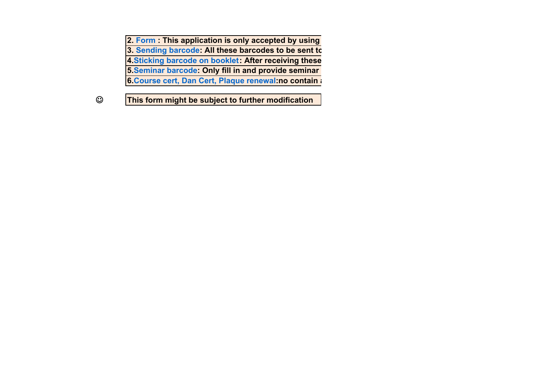**2. Form : This application is only accepted by using 3. Sending barcode: All these barcodes to be sent to 4.Sticking barcode on booklet: After receiving these 5.Seminar barcode: Only fill in and provide seminar 6.Course cert, Dan Cert, Plaque renewal:no contain a**

**This form might be subject to further modification**

 $\odot$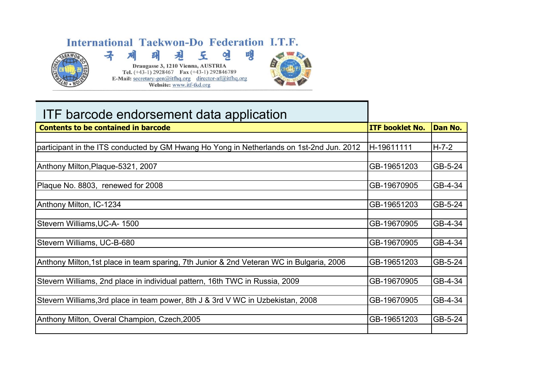## International Taekwon-Do Federation I.T.F.



## 맹 見 王 연 킈  $\mathcal{F}$ Draugasse 3, 1210 Vienna, AUSTRIA Tel.  $(+43-1)$  2928467 Fax  $(+43-1)$  292846789 **E-Mail:** secretary-gen@itfhq.org director-af@itfhq.org Website: www.itf-tkd.org



## ITF barcode endorsement data application

| <b>Contents to be contained in barcode</b>                                               | <b>ITF booklet No.</b> | <b>Dan No.</b> |
|------------------------------------------------------------------------------------------|------------------------|----------------|
|                                                                                          |                        |                |
| participant in the ITS conducted by GM Hwang Ho Yong in Netherlands on 1st-2nd Jun. 2012 | H-19611111             | $H - 7 - 2$    |
|                                                                                          |                        |                |
| Anthony Milton, Plaque-5321, 2007                                                        | GB-19651203            | GB-5-24        |
|                                                                                          |                        |                |
| Plaque No. 8803, renewed for 2008                                                        | GB-19670905            | GB-4-34        |
|                                                                                          |                        |                |
| Anthony Milton, IC-1234                                                                  | GB-19651203            | GB-5-24        |
|                                                                                          |                        |                |
| Stevern Williams, UC-A-1500                                                              | GB-19670905            | GB-4-34        |
|                                                                                          |                        |                |
| Stevern Williams, UC-B-680                                                               | GB-19670905            | GB-4-34        |
| Anthony Milton, 1st place in team sparing, 7th Junior & 2nd Veteran WC in Bulgaria, 2006 | GB-19651203            | GB-5-24        |
|                                                                                          |                        |                |
| Stevern Williams, 2nd place in individual pattern, 16th TWC in Russia, 2009              | GB-19670905            | GB-4-34        |
|                                                                                          |                        |                |
| Stevern Williams, 3rd place in team power, 8th J & 3rd V WC in Uzbekistan, 2008          | GB-19670905            | GB-4-34        |
|                                                                                          |                        |                |
| Anthony Milton, Overal Champion, Czech, 2005                                             | GB-19651203            | GB-5-24        |
|                                                                                          |                        |                |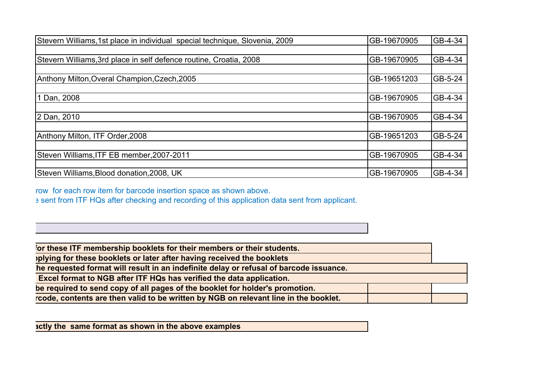| Stevern Williams, 1st place in individual special technique, Slovenia, 2009 | GB-19670905 | GB-4-34 |
|-----------------------------------------------------------------------------|-------------|---------|
|                                                                             |             |         |
| Stevern Williams, 3rd place in self defence routine, Croatia, 2008          | GB-19670905 | GB-4-34 |
|                                                                             |             |         |
| Anthony Milton, Overal Champion, Czech, 2005                                | GB-19651203 | GB-5-24 |
|                                                                             |             |         |
| 1 Dan, 2008                                                                 | GB-19670905 | GB-4-34 |
|                                                                             |             |         |
| 2 Dan, 2010                                                                 | GB-19670905 | GB-4-34 |
|                                                                             |             |         |
| Anthony Milton, ITF Order, 2008                                             | GB-19651203 | GB-5-24 |
|                                                                             |             |         |
| Steven Williams, ITF EB member, 2007-2011                                   | GB-19670905 | GB-4-34 |
|                                                                             |             |         |
| Steven Williams, Blood donation, 2008, UK                                   | GB-19670905 | GB-4-34 |

row for each row item for barcode insertion space as shown above.

e sent from ITF HQs after checking and recording of this application data sent from applicant.

**for these ITF membership booklets for their members or their students.**

**pplying for these booklets or later after having received the booklets**

**the requested format will result in an indefinite delay or refusal of barcode issuance.**

 **Excel format to NGB after ITF HQs has verified the data application.**

**be required to send copy of all pages of the booklet for holder's promotion.**

**rcode, contents are then valid to be written by NGB on relevant line in the booklet.**

**actly the same format as shown in the above examples**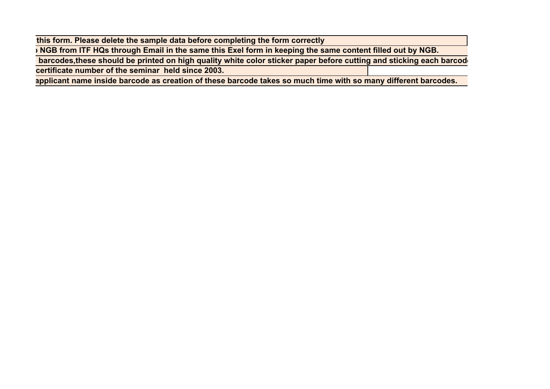**this form. Please delete the sample data before completing the form correctly**

**o NGB from ITF HQs through Email in the same this Exel form in keeping the same content filled out by NGB.**

**e barcodes,these should be printed on high quality white color sticker paper before cutting and sticking each barcod e**

**certificate number of the seminar held since 2003.**

**applicant name inside barcode as creation of these barcode takes so much time with so many different barcodes.**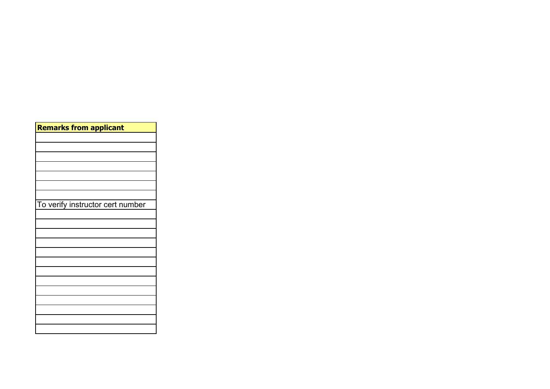| <b>Remarks from applicant</b>    |  |
|----------------------------------|--|
|                                  |  |
|                                  |  |
|                                  |  |
|                                  |  |
|                                  |  |
|                                  |  |
|                                  |  |
| To verify instructor cert number |  |
|                                  |  |
|                                  |  |
|                                  |  |
|                                  |  |
|                                  |  |
|                                  |  |
|                                  |  |
|                                  |  |
|                                  |  |
|                                  |  |
|                                  |  |
|                                  |  |
|                                  |  |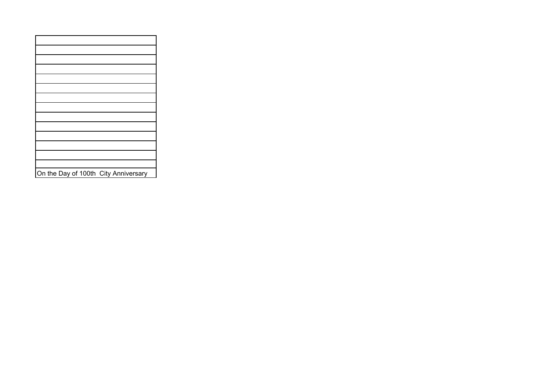| On the Day of 100th City Anniversary |
|--------------------------------------|